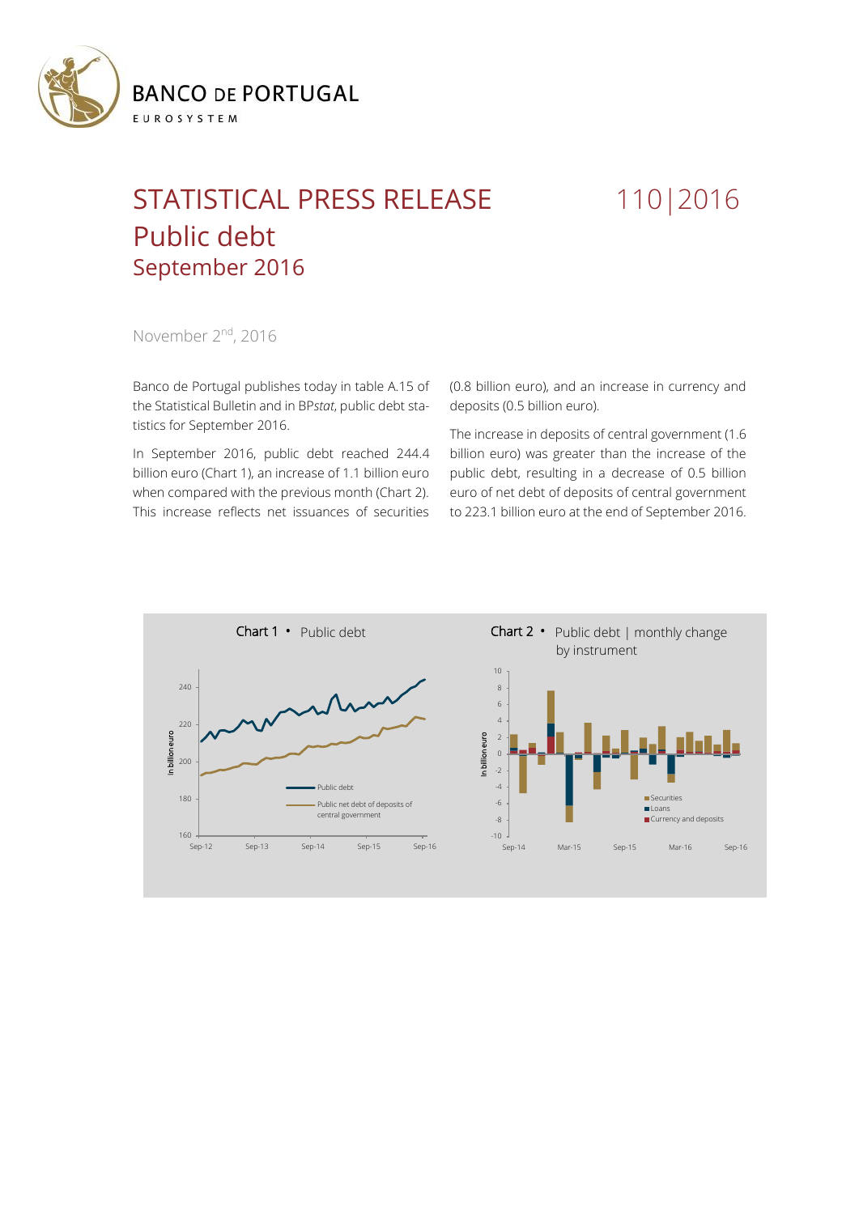

## STATISTICAL PRESS RELEASE 110 | 2016 Public debt September 2016

November 2<sup>nd</sup>, 2016

Banco de Portugal publishes today in table A.15 of the Statistical Bulletin and in BP*stat*, public debt statistics for September 2016.

In September 2016, public debt reached 244.4 billion euro (Chart 1), an increase of 1.1 billion euro when compared with the previous month (Chart 2). This increase reflects net issuances of securities (0.8 billion euro), and an increase in currency and deposits (0.5 billion euro).

The increase in deposits of central government (1.6 billion euro) was greater than the increase of the public debt, resulting in a decrease of 0.5 billion euro of net debt of deposits of central government to 223.1 billion euro at the end of September 2016.